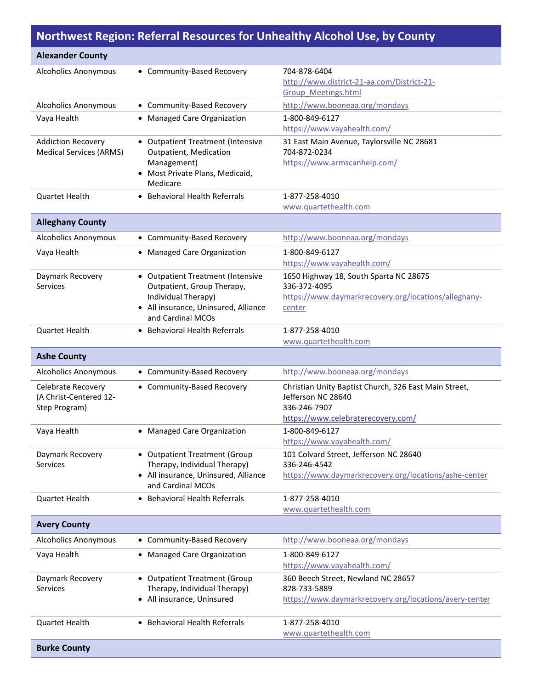## **Northwest Region: Referral Resources for Unhealthy Alcohol Use, by County**

| <b>Alexander County</b>                                              |                                                                                                                                                     |                                                                                                                                   |
|----------------------------------------------------------------------|-----------------------------------------------------------------------------------------------------------------------------------------------------|-----------------------------------------------------------------------------------------------------------------------------------|
| <b>Alcoholics Anonymous</b>                                          | • Community-Based Recovery                                                                                                                          | 704-878-6404<br>http://www.district-21-aa.com/District-21-<br>Group Meetings.html                                                 |
| <b>Alcoholics Anonymous</b>                                          | • Community-Based Recovery                                                                                                                          | http://www.booneaa.org/mondays                                                                                                    |
| Vaya Health                                                          | • Managed Care Organization                                                                                                                         | 1-800-849-6127<br>https://www.vayahealth.com/                                                                                     |
| <b>Addiction Recovery</b><br><b>Medical Services (ARMS)</b>          | • Outpatient Treatment (Intensive<br>Outpatient, Medication<br>Management)<br>• Most Private Plans, Medicaid,<br>Medicare                           | 31 East Main Avenue, Taylorsville NC 28681<br>704-872-0234<br>https://www.armscanhelp.com/                                        |
| <b>Quartet Health</b>                                                | <b>Behavioral Health Referrals</b>                                                                                                                  | 1-877-258-4010<br>www.quartethealth.com                                                                                           |
| <b>Alleghany County</b>                                              |                                                                                                                                                     |                                                                                                                                   |
| <b>Alcoholics Anonymous</b>                                          | • Community-Based Recovery                                                                                                                          | http://www.booneaa.org/mondays                                                                                                    |
| Vaya Health                                                          | • Managed Care Organization                                                                                                                         | 1-800-849-6127<br>https://www.vayahealth.com/                                                                                     |
| Daymark Recovery<br><b>Services</b>                                  | • Outpatient Treatment (Intensive<br>Outpatient, Group Therapy,<br>Individual Therapy)<br>• All insurance, Uninsured, Alliance<br>and Cardinal MCOs | 1650 Highway 18, South Sparta NC 28675<br>336-372-4095<br>https://www.daymarkrecovery.org/locations/alleghany-<br>center          |
| Quartet Health                                                       | • Behavioral Health Referrals                                                                                                                       | 1-877-258-4010<br>www.quartethealth.com                                                                                           |
| <b>Ashe County</b>                                                   |                                                                                                                                                     |                                                                                                                                   |
| <b>Alcoholics Anonymous</b>                                          | • Community-Based Recovery                                                                                                                          | http://www.booneaa.org/mondays                                                                                                    |
| <b>Celebrate Recovery</b><br>(A Christ-Centered 12-<br>Step Program) | • Community-Based Recovery                                                                                                                          | Christian Unity Baptist Church, 326 East Main Street,<br>Jefferson NC 28640<br>336-246-7907<br>https://www.celebraterecovery.com/ |
| Vaya Health                                                          | • Managed Care Organization                                                                                                                         | 1-800-849-6127<br>https://www.vayahealth.com/                                                                                     |
| Daymark Recovery<br><b>Services</b>                                  | • Outpatient Treatment (Group<br>Therapy, Individual Therapy)<br>• All insurance, Uninsured, Alliance<br>and Cardinal MCOs                          | 101 Colvard Street, Jefferson NC 28640<br>336-246-4542<br>https://www.daymarkrecovery.org/locations/ashe-center                   |
| <b>Quartet Health</b>                                                | <b>Behavioral Health Referrals</b>                                                                                                                  | 1-877-258-4010<br>www.quartethealth.com                                                                                           |
| <b>Avery County</b>                                                  |                                                                                                                                                     |                                                                                                                                   |
| Alcoholics Anonymous                                                 | • Community-Based Recovery                                                                                                                          | http://www.booneaa.org/mondays                                                                                                    |
| Vaya Health                                                          | • Managed Care Organization                                                                                                                         | 1-800-849-6127<br>https://www.vayahealth.com/                                                                                     |
| Daymark Recovery<br><b>Services</b>                                  | • Outpatient Treatment (Group<br>Therapy, Individual Therapy)<br>• All insurance, Uninsured                                                         | 360 Beech Street, Newland NC 28657<br>828-733-5889<br>https://www.daymarkrecovery.org/locations/avery-center                      |
| <b>Quartet Health</b>                                                | • Behavioral Health Referrals                                                                                                                       | 1-877-258-4010<br>www.quartethealth.com                                                                                           |
| <b>Burke County</b>                                                  |                                                                                                                                                     |                                                                                                                                   |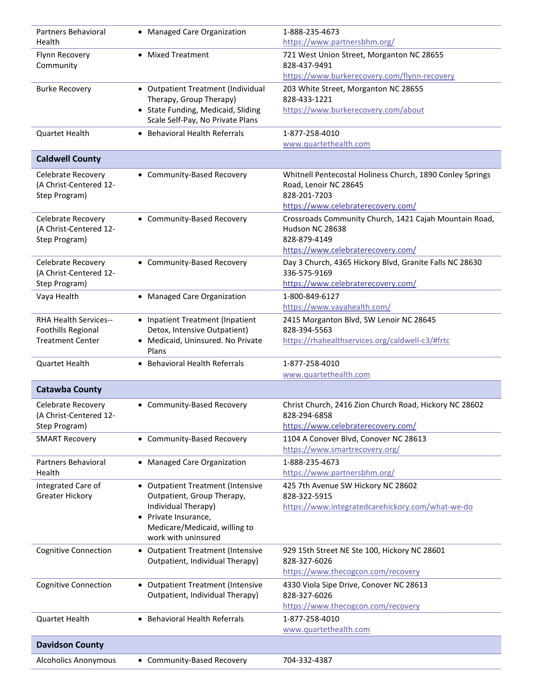| <b>Partners Behavioral</b><br>Health | • Managed Care Organization                                            | 1-888-235-4673<br>https://www.partnersbhm.org/            |
|--------------------------------------|------------------------------------------------------------------------|-----------------------------------------------------------|
| Flynn Recovery                       | • Mixed Treatment                                                      | 721 West Union Street, Morganton NC 28655                 |
| Community                            |                                                                        | 828-437-9491                                              |
|                                      |                                                                        | https://www.burkerecovery.com/flynn-recovery              |
| <b>Burke Recovery</b>                | • Outpatient Treatment (Individual                                     | 203 White Street, Morganton NC 28655                      |
|                                      | Therapy, Group Therapy)                                                | 828-433-1221                                              |
|                                      | • State Funding, Medicaid, Sliding<br>Scale Self-Pay, No Private Plans | https://www.burkerecovery.com/about                       |
| Quartet Health                       | • Behavioral Health Referrals                                          | 1-877-258-4010                                            |
|                                      |                                                                        | www.quartethealth.com                                     |
| <b>Caldwell County</b>               |                                                                        |                                                           |
| Celebrate Recovery                   | • Community-Based Recovery                                             | Whitnell Pentecostal Holiness Church, 1890 Conley Springs |
| (A Christ-Centered 12-               |                                                                        | Road, Lenoir NC 28645                                     |
| Step Program)                        |                                                                        | 828-201-7203                                              |
|                                      |                                                                        | https://www.celebraterecovery.com/                        |
| Celebrate Recovery                   | • Community-Based Recovery                                             | Crossroads Community Church, 1421 Cajah Mountain Road,    |
| (A Christ-Centered 12-               |                                                                        | Hudson NC 28638                                           |
| Step Program)                        |                                                                        | 828-879-4149                                              |
|                                      |                                                                        | https://www.celebraterecovery.com/                        |
| Celebrate Recovery                   | • Community-Based Recovery                                             | Day 3 Church, 4365 Hickory Blvd, Granite Falls NC 28630   |
| (A Christ-Centered 12-               |                                                                        | 336-575-9169                                              |
| Step Program)                        |                                                                        | https://www.celebraterecovery.com/                        |
| Vaya Health                          | • Managed Care Organization                                            | 1-800-849-6127                                            |
|                                      |                                                                        | https://www.vayahealth.com/                               |
| RHA Health Services--                | • Inpatient Treatment (Inpatient                                       | 2415 Morganton Blvd, SW Lenoir NC 28645                   |
| <b>Foothills Regional</b>            | Detox, Intensive Outpatient)                                           | 828-394-5563                                              |
| <b>Treatment Center</b>              | • Medicaid, Uninsured. No Private<br>Plans                             | https://rhahealthservices.org/caldwell-c3/#frtc           |
| Quartet Health                       | • Behavioral Health Referrals                                          | 1-877-258-4010                                            |
|                                      |                                                                        | www.quartethealth.com                                     |
| <b>Catawba County</b>                |                                                                        |                                                           |
| Celebrate Recovery                   | • Community-Based Recovery                                             | Christ Church, 2416 Zion Church Road, Hickory NC 28602    |
| (A Christ-Centered 12-               |                                                                        | 828-294-6858                                              |
| Step Program)                        |                                                                        | https://www.celebraterecovery.com/                        |
| <b>SMART Recovery</b>                | • Community-Based Recovery                                             | 1104 A Conover Blvd, Conover NC 28613                     |
|                                      |                                                                        | https://www.smartrecovery.org/                            |
| Partners Behavioral                  | • Managed Care Organization                                            | 1-888-235-4673                                            |
| Health                               |                                                                        | https://www.partnersbhm.org/                              |
| Integrated Care of                   | • Outpatient Treatment (Intensive                                      | 425 7th Avenue SW Hickory NC 28602                        |
| <b>Greater Hickory</b>               | Outpatient, Group Therapy,                                             | 828-322-5915                                              |
|                                      | Individual Therapy)                                                    | https://www.integratedcarehickory.com/what-we-do          |
|                                      | • Private Insurance,                                                   |                                                           |
|                                      | Medicare/Medicaid, willing to                                          |                                                           |
|                                      | work with uninsured                                                    |                                                           |
| <b>Cognitive Connection</b>          | • Outpatient Treatment (Intensive                                      | 929 15th Street NE Ste 100, Hickory NC 28601              |
|                                      | Outpatient, Individual Therapy)                                        | 828-327-6026                                              |
|                                      |                                                                        | https://www.thecogcon.com/recovery                        |
| <b>Cognitive Connection</b>          | • Outpatient Treatment (Intensive                                      | 4330 Viola Sipe Drive, Conover NC 28613                   |
|                                      | Outpatient, Individual Therapy)                                        | 828-327-6026                                              |
|                                      |                                                                        | https://www.thecogcon.com/recovery                        |
| <b>Quartet Health</b>                | • Behavioral Health Referrals                                          | 1-877-258-4010                                            |
|                                      |                                                                        | www.quartethealth.com                                     |
| <b>Davidson County</b>               |                                                                        |                                                           |
|                                      | • Community-Based Recovery                                             | 704-332-4387                                              |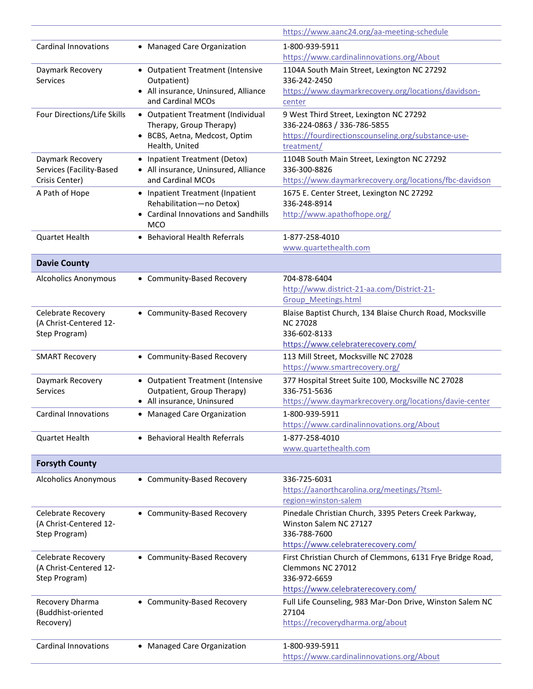|                                         |                                                               | https://www.aanc24.org/aa-meeting-schedule                             |
|-----------------------------------------|---------------------------------------------------------------|------------------------------------------------------------------------|
| <b>Cardinal Innovations</b>             | • Managed Care Organization                                   | 1-800-939-5911                                                         |
|                                         |                                                               | https://www.cardinalinnovations.org/About                              |
| Daymark Recovery                        | • Outpatient Treatment (Intensive                             | 1104A South Main Street, Lexington NC 27292                            |
| <b>Services</b>                         | Outpatient)                                                   | 336-242-2450                                                           |
|                                         | • All insurance, Uninsured, Alliance                          | https://www.daymarkrecovery.org/locations/davidson-                    |
|                                         | and Cardinal MCOs                                             | center                                                                 |
| Four Directions/Life Skills             | • Outpatient Treatment (Individual<br>Therapy, Group Therapy) | 9 West Third Street, Lexington NC 27292<br>336-224-0863 / 336-786-5855 |
|                                         | · BCBS, Aetna, Medcost, Optim                                 | https://fourdirectionscounseling.org/substance-use-                    |
|                                         | Health, United                                                | treatment/                                                             |
| Daymark Recovery                        | • Inpatient Treatment (Detox)                                 | 1104B South Main Street, Lexington NC 27292                            |
| Services (Facility-Based                | • All insurance, Uninsured, Alliance                          | 336-300-8826                                                           |
| Crisis Center)                          | and Cardinal MCOs                                             | https://www.daymarkrecovery.org/locations/fbc-davidson                 |
| A Path of Hope                          | • Inpatient Treatment (Inpatient                              | 1675 E. Center Street, Lexington NC 27292                              |
|                                         | Rehabilitation-no Detox)                                      | 336-248-8914                                                           |
|                                         | • Cardinal Innovations and Sandhills<br><b>MCO</b>            | http://www.apathofhope.org/                                            |
| Quartet Health                          | <b>Behavioral Health Referrals</b><br>$\bullet$               | 1-877-258-4010                                                         |
|                                         |                                                               | www.quartethealth.com                                                  |
| <b>Davie County</b>                     |                                                               |                                                                        |
|                                         |                                                               |                                                                        |
| <b>Alcoholics Anonymous</b>             | • Community-Based Recovery                                    | 704-878-6404<br>http://www.district-21-aa.com/District-21-             |
|                                         |                                                               | <b>Group Meetings.html</b>                                             |
| Celebrate Recovery                      | • Community-Based Recovery                                    | Blaise Baptist Church, 134 Blaise Church Road, Mocksville              |
| (A Christ-Centered 12-                  |                                                               | <b>NC 27028</b>                                                        |
| Step Program)                           |                                                               | 336-602-8133                                                           |
|                                         |                                                               | https://www.celebraterecovery.com/                                     |
| <b>SMART Recovery</b>                   | • Community-Based Recovery                                    | 113 Mill Street, Mocksville NC 27028                                   |
|                                         |                                                               | https://www.smartrecovery.org/                                         |
| Daymark Recovery                        | • Outpatient Treatment (Intensive                             | 377 Hospital Street Suite 100, Mocksville NC 27028                     |
| Services                                | Outpatient, Group Therapy)<br>• All insurance, Uninsured      | 336-751-5636<br>https://www.daymarkrecovery.org/locations/davie-center |
| <b>Cardinal Innovations</b>             | • Managed Care Organization                                   | 1-800-939-5911                                                         |
|                                         |                                                               | https://www.cardinalinnovations.org/About                              |
| <b>Quartet Health</b>                   | • Behavioral Health Referrals                                 | 1-877-258-4010                                                         |
|                                         |                                                               | www.quartethealth.com                                                  |
| <b>Forsyth County</b>                   |                                                               |                                                                        |
| <b>Alcoholics Anonymous</b>             | • Community-Based Recovery                                    | 336-725-6031                                                           |
|                                         |                                                               | https://aanorthcarolina.org/meetings/?tsml-                            |
|                                         |                                                               | region=winston-salem                                                   |
| Celebrate Recovery                      | • Community-Based Recovery                                    | Pinedale Christian Church, 3395 Peters Creek Parkway,                  |
| (A Christ-Centered 12-                  |                                                               | Winston Salem NC 27127                                                 |
| Step Program)                           |                                                               | 336-788-7600                                                           |
|                                         |                                                               | https://www.celebraterecovery.com/                                     |
| Celebrate Recovery                      | • Community-Based Recovery                                    | First Christian Church of Clemmons, 6131 Frye Bridge Road,             |
| (A Christ-Centered 12-<br>Step Program) |                                                               | Clemmons NC 27012<br>336-972-6659                                      |
|                                         |                                                               | https://www.celebraterecovery.com/                                     |
| Recovery Dharma                         | • Community-Based Recovery                                    | Full Life Counseling, 983 Mar-Don Drive, Winston Salem NC              |
| (Buddhist-oriented                      |                                                               | 27104                                                                  |
| Recovery)                               |                                                               | https://recoverydharma.org/about                                       |
|                                         |                                                               |                                                                        |
| <b>Cardinal Innovations</b>             | • Managed Care Organization                                   | 1-800-939-5911                                                         |
|                                         |                                                               | https://www.cardinalinnovations.org/About                              |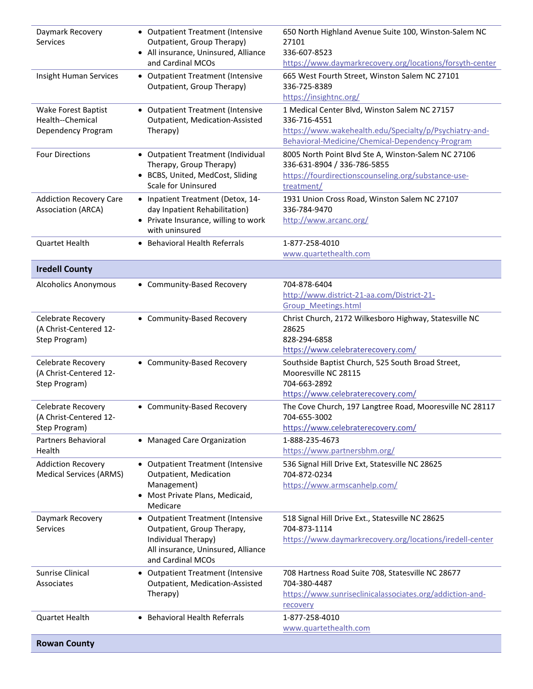| Daymark Recovery<br><b>Services</b>                                  | • Outpatient Treatment (Intensive<br>Outpatient, Group Therapy)<br>• All insurance, Uninsured, Alliance<br>and Cardinal MCOs                      | 650 North Highland Avenue Suite 100, Winston-Salem NC<br>27101<br>336-607-8523<br>https://www.daymarkrecovery.org/locations/forsyth-center                                 |
|----------------------------------------------------------------------|---------------------------------------------------------------------------------------------------------------------------------------------------|----------------------------------------------------------------------------------------------------------------------------------------------------------------------------|
| <b>Insight Human Services</b>                                        | • Outpatient Treatment (Intensive<br>Outpatient, Group Therapy)                                                                                   | 665 West Fourth Street, Winston Salem NC 27101<br>336-725-8389<br>https://insightnc.org/                                                                                   |
| Wake Forest Baptist<br>Health--Chemical<br>Dependency Program        | • Outpatient Treatment (Intensive<br>Outpatient, Medication-Assisted<br>Therapy)                                                                  | 1 Medical Center Blvd, Winston Salem NC 27157<br>336-716-4551<br>https://www.wakehealth.edu/Specialty/p/Psychiatry-and-<br>Behavioral-Medicine/Chemical-Dependency-Program |
| <b>Four Directions</b>                                               | • Outpatient Treatment (Individual<br>Therapy, Group Therapy)<br>· BCBS, United, MedCost, Sliding<br>Scale for Uninsured                          | 8005 North Point Blvd Ste A, Winston-Salem NC 27106<br>336-631-8904 / 336-786-5855<br>https://fourdirectionscounseling.org/substance-use-<br>treatment/                    |
| <b>Addiction Recovery Care</b><br><b>Association (ARCA)</b>          | • Inpatient Treatment (Detox, 14-<br>day Inpatient Rehabilitation)<br>• Private Insurance, willing to work<br>with uninsured                      | 1931 Union Cross Road, Winston Salem NC 27107<br>336-784-9470<br>http://www.arcanc.org/                                                                                    |
| Quartet Health                                                       | • Behavioral Health Referrals                                                                                                                     | 1-877-258-4010<br>www.quartethealth.com                                                                                                                                    |
| <b>Iredell County</b>                                                |                                                                                                                                                   |                                                                                                                                                                            |
| <b>Alcoholics Anonymous</b>                                          | • Community-Based Recovery                                                                                                                        | 704-878-6404<br>http://www.district-21-aa.com/District-21-<br><b>Group Meetings.html</b>                                                                                   |
| Celebrate Recovery<br>(A Christ-Centered 12-<br>Step Program)        | • Community-Based Recovery                                                                                                                        | Christ Church, 2172 Wilkesboro Highway, Statesville NC<br>28625<br>828-294-6858<br>https://www.celebraterecovery.com/                                                      |
| <b>Celebrate Recovery</b><br>(A Christ-Centered 12-<br>Step Program) | • Community-Based Recovery                                                                                                                        | Southside Baptist Church, 525 South Broad Street,<br>Mooresville NC 28115<br>704-663-2892<br>https://www.celebraterecovery.com/                                            |
| Celebrate Recovery<br>(A Christ-Centered 12-<br>Step Program)        | • Community-Based Recovery                                                                                                                        | The Cove Church, 197 Langtree Road, Mooresville NC 28117<br>704-655-3002<br>https://www.celebraterecovery.com/                                                             |
| Partners Behavioral<br>Health                                        | • Managed Care Organization                                                                                                                       | 1-888-235-4673<br>https://www.partnersbhm.org/                                                                                                                             |
| <b>Addiction Recovery</b><br><b>Medical Services (ARMS)</b>          | • Outpatient Treatment (Intensive<br>Outpatient, Medication<br>Management)<br>• Most Private Plans, Medicaid,<br>Medicare                         | 536 Signal Hill Drive Ext, Statesville NC 28625<br>704-872-0234<br>https://www.armscanhelp.com/                                                                            |
| Daymark Recovery<br><b>Services</b>                                  | • Outpatient Treatment (Intensive<br>Outpatient, Group Therapy,<br>Individual Therapy)<br>All insurance, Uninsured, Alliance<br>and Cardinal MCOs | 518 Signal Hill Drive Ext., Statesville NC 28625<br>704-873-1114<br>https://www.daymarkrecovery.org/locations/iredell-center                                               |
| Sunrise Clinical<br>Associates                                       | • Outpatient Treatment (Intensive<br>Outpatient, Medication-Assisted<br>Therapy)                                                                  | 708 Hartness Road Suite 708, Statesville NC 28677<br>704-380-4487<br>https://www.sunriseclinicalassociates.org/addiction-and-<br>recovery                                  |
| <b>Quartet Health</b>                                                | • Behavioral Health Referrals                                                                                                                     | 1-877-258-4010<br>www.quartethealth.com                                                                                                                                    |
| <b>Rowan County</b>                                                  |                                                                                                                                                   |                                                                                                                                                                            |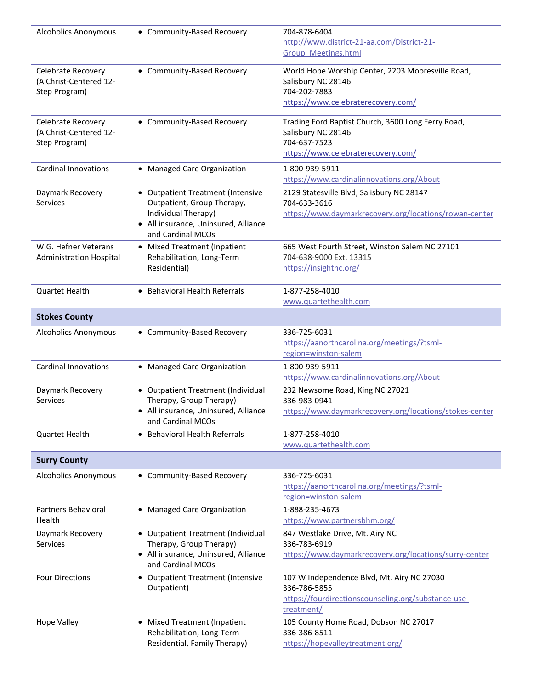| <b>Alcoholics Anonymous</b>                                   | • Community-Based Recovery                                                                                                                          | 704-878-6404<br>http://www.district-21-aa.com/District-21-<br><b>Group Meetings.html</b>                                        |
|---------------------------------------------------------------|-----------------------------------------------------------------------------------------------------------------------------------------------------|---------------------------------------------------------------------------------------------------------------------------------|
| Celebrate Recovery<br>(A Christ-Centered 12-<br>Step Program) | • Community-Based Recovery                                                                                                                          | World Hope Worship Center, 2203 Mooresville Road,<br>Salisbury NC 28146<br>704-202-7883<br>https://www.celebraterecovery.com/   |
| Celebrate Recovery<br>(A Christ-Centered 12-<br>Step Program) | • Community-Based Recovery                                                                                                                          | Trading Ford Baptist Church, 3600 Long Ferry Road,<br>Salisbury NC 28146<br>704-637-7523<br>https://www.celebraterecovery.com/  |
| <b>Cardinal Innovations</b>                                   | • Managed Care Organization                                                                                                                         | 1-800-939-5911<br>https://www.cardinalinnovations.org/About                                                                     |
| Daymark Recovery<br>Services                                  | • Outpatient Treatment (Intensive<br>Outpatient, Group Therapy,<br>Individual Therapy)<br>• All insurance, Uninsured, Alliance<br>and Cardinal MCOs | 2129 Statesville Blvd, Salisbury NC 28147<br>704-633-3616<br>https://www.daymarkrecovery.org/locations/rowan-center             |
| W.G. Hefner Veterans<br><b>Administration Hospital</b>        | • Mixed Treatment (Inpatient<br>Rehabilitation, Long-Term<br>Residential)                                                                           | 665 West Fourth Street, Winston Salem NC 27101<br>704-638-9000 Ext. 13315<br>https://insightnc.org/                             |
| Quartet Health                                                | • Behavioral Health Referrals                                                                                                                       | 1-877-258-4010<br>www.quartethealth.com                                                                                         |
| <b>Stokes County</b>                                          |                                                                                                                                                     |                                                                                                                                 |
| <b>Alcoholics Anonymous</b>                                   | • Community-Based Recovery                                                                                                                          | 336-725-6031<br>https://aanorthcarolina.org/meetings/?tsml-<br>region=winston-salem                                             |
| <b>Cardinal Innovations</b>                                   | • Managed Care Organization                                                                                                                         | 1-800-939-5911<br>https://www.cardinalinnovations.org/About                                                                     |
| Daymark Recovery<br>Services                                  | • Outpatient Treatment (Individual<br>Therapy, Group Therapy)<br>• All insurance, Uninsured, Alliance<br>and Cardinal MCOs                          | 232 Newsome Road, King NC 27021<br>336-983-0941<br>https://www.daymarkrecovery.org/locations/stokes-center                      |
| Quartet Health                                                | <b>Behavioral Health Referrals</b>                                                                                                                  | 1-877-258-4010<br>www.quartethealth.com                                                                                         |
| <b>Surry County</b>                                           |                                                                                                                                                     |                                                                                                                                 |
| <b>Alcoholics Anonymous</b>                                   | • Community-Based Recovery                                                                                                                          | 336-725-6031<br>https://aanorthcarolina.org/meetings/?tsml-<br>region=winston-salem                                             |
| Partners Behavioral<br>Health                                 | • Managed Care Organization                                                                                                                         | 1-888-235-4673<br>https://www.partnersbhm.org/                                                                                  |
| Daymark Recovery<br>Services                                  | • Outpatient Treatment (Individual<br>Therapy, Group Therapy)<br>• All insurance, Uninsured, Alliance<br>and Cardinal MCOs                          | 847 Westlake Drive, Mt. Airy NC<br>336-783-6919<br>https://www.daymarkrecovery.org/locations/surry-center                       |
| <b>Four Directions</b>                                        | • Outpatient Treatment (Intensive<br>Outpatient)                                                                                                    | 107 W Independence Blvd, Mt. Airy NC 27030<br>336-786-5855<br>https://fourdirectionscounseling.org/substance-use-<br>treatment/ |
| <b>Hope Valley</b>                                            | • Mixed Treatment (Inpatient<br>Rehabilitation, Long-Term<br>Residential, Family Therapy)                                                           | 105 County Home Road, Dobson NC 27017<br>336-386-8511<br>https://hopevalleytreatment.org/                                       |